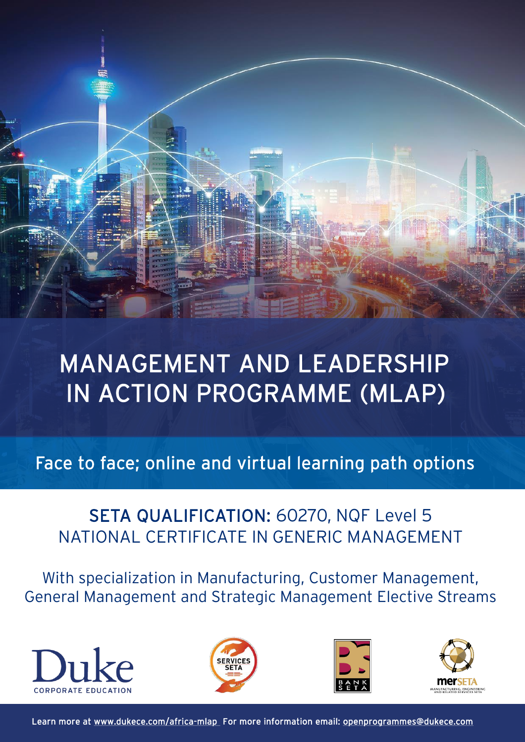

# MANAGEMENT AND LEADERSHIP IN ACTION PROGRAMME (MLAP)

Face to face; online and virtual learning path options

## SETA QUALIFICATION: 60270, NQF Level 5 NATIONAL CERTIFICATE IN GENERIC MANAGEMENT

With specialization in Manufacturing, Customer Management, General Management and Strategic Management Elective Streams









Learn more at [www.dukece.com/africa-mlap](http://www.dukece.com/africa-mlap) For more information email: [openprogrammes@dukece.com](mailto:openprogrammes@dukece.com)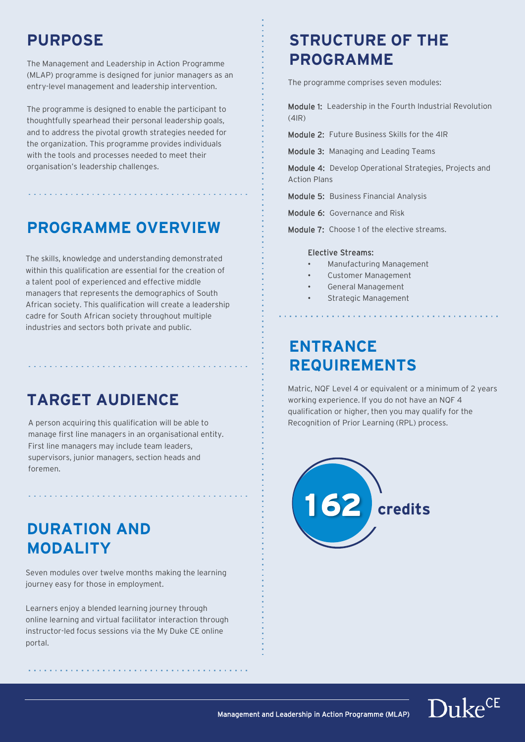## **PURPOSE**

The Management and Leadership in Action Programme (MLAP) programme is designed for junior managers as an entry-level management and leadership intervention.

The programme is designed to enable the participant to thoughtfully spearhead their personal leadership goals, and to address the pivotal growth strategies needed for the organization. This programme provides individuals with the tools and processes needed to meet their organisation's leadership challenges.

## **PROGRAMME OVERVIEW**

The skills, knowledge and understanding demonstrated within this qualification are essential for the creation of a talent pool of experienced and effective middle managers that represents the demographics of South African society. This qualification will create a leadership cadre for South African society throughout multiple industries and sectors both private and public.

## **TARGET AUDIENCE**

A person acquiring this qualification will be able to manage first line managers in an organisational entity. First line managers may include team leaders, supervisors, junior managers, section heads and foremen.

## **DURATION AND MODALITY**

Seven modules over twelve months making the learning journey easy for those in employment.

Learners enjoy a blended learning journey through online learning and virtual facilitator interaction through instructor-led focus sessions via the My Duke CE online portal.

## **STRUCTURE OF THE PROGRAMME**

The programme comprises seven modules:

Module 1: Leadership in the Fourth Industrial Revolution (4IR)

Module 2: Future Business Skills for the 4IR

Module 3: Managing and Leading Teams

Module 4: Develop Operational Strategies, Projects and Action Plans

Module 5: Business Financial Analysis

Module 6: Governance and Risk

Module 7: Choose 1 of the elective streams.

#### Elective Streams:

- Manufacturing Management
- Customer Management
- General Management
- Strategic Management

## **ENTRANCE REQUIREMENTS**

Matric, NQF Level 4 or equivalent or a minimum of 2 years working experience. If you do not have an NQF 4 qualification or higher, then you may qualify for the Recognition of Prior Learning (RPL) process.





Management and Leadership in Action Programme (MLAP)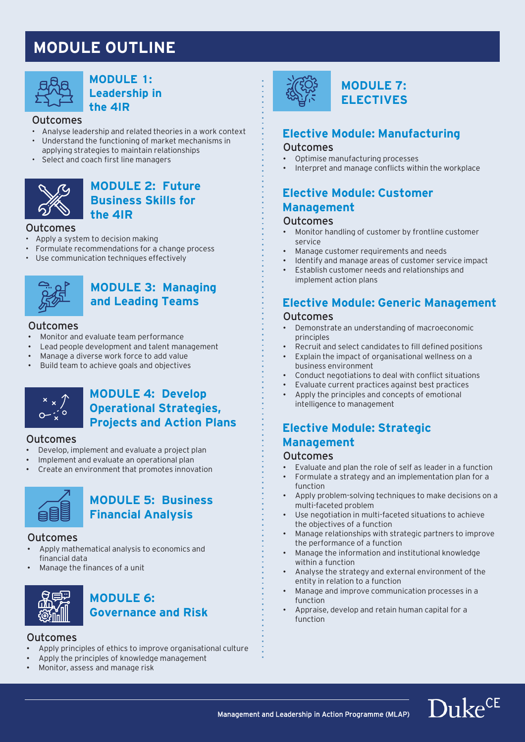## **MODULE OUTLINE**



#### **MODULE 1: Leadership in the 4IR**

#### Outcomes

- Analyse leadership and related theories in a work context<br>• Understand the functioning of market mechanisms in • Understand the functioning of market mechanisms in applying strategies to maintain relationships
- Select and coach first line managers



#### **MODULE 2: Future Business Skills for the 4IR**

#### Outcomes

- Apply a system to decision making
- Formulate recommendations for a change process
- Use communication techniques effectively



## **MODULE 3: Managing and Leading Teams**

#### Outcomes

- Monitor and evaluate team performance
- Lead people development and talent management
- Manage a diverse work force to add value
- Build team to achieve goals and objectives



### **MODULE 4: Develop Operational Strategies, Projects and Action Plans**

#### Outcomes

- Develop, implement and evaluate a project plan
- Implement and evaluate an operational plan
- Create an environment that promotes innovation



## **MODULE 5: Business Financial Analysis**

#### Outcomes

- Apply mathematical analysis to economics and financial data
- Manage the finances of a unit



### **MODULE 6: Governance and Risk**

#### Outcomes

- Apply principles of ethics to improve organisational culture
- Apply the principles of knowledge management
- Monitor, assess and manage risk



### **MODULE 7: ELECTIVES**

### **Elective Module: Manufacturing**

#### Outcomes

- Optimise manufacturing processes
- Interpret and manage conflicts within the workplace

## **Elective Module: Customer Management**

#### Outcomes

- Monitor handling of customer by frontline customer service
- Manage customer requirements and needs
- Identify and manage areas of customer service impact • Establish customer needs and relationships and
- implement action plans

## **Elective Module: Generic Management**

#### **Outcomes**

- Demonstrate an understanding of macroeconomic principles
- Recruit and select candidates to fill defined positions
- Explain the impact of organisational wellness on a business environment
- Conduct negotiations to deal with conflict situations
- Evaluate current practices against best practices
- Apply the principles and concepts of emotional intelligence to management

### **Elective Module: Strategic Management**

#### Outcomes

- Evaluate and plan the role of self as leader in a function
- Formulate a strategy and an implementation plan for a function
- Apply problem-solving techniques to make decisions on a multi-faceted problem
- Use negotiation in multi-faceted situations to achieve the objectives of a function
- Manage relationships with strategic partners to improve the performance of a function
- Manage the information and institutional knowledge within a function
- Analyse the strategy and external environment of the entity in relation to a function
- Manage and improve communication processes in a function
- Appraise, develop and retain human capital for a function